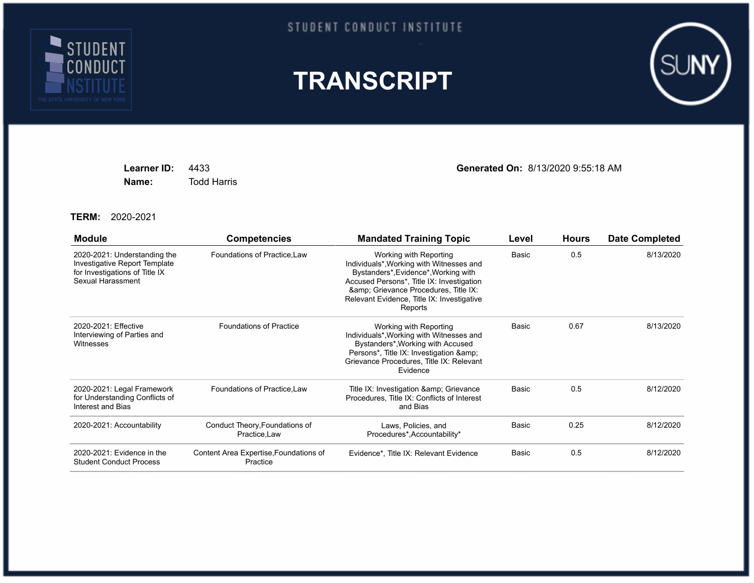

## STUDENT CONDUCT INSTITUTE





**Name:** Todd Harris

**Learner ID:** 4433 **Generated On:** 8/13/2020 9:55:18 AM

**TERM:** 2020-2021

| <b>Module</b>                                                                                                        | <b>Competencies</b>                                | <b>Mandated Training Topic</b>                                                                                                                                                                                                                        | Level | <b>Hours</b> | <b>Date Completed</b> |
|----------------------------------------------------------------------------------------------------------------------|----------------------------------------------------|-------------------------------------------------------------------------------------------------------------------------------------------------------------------------------------------------------------------------------------------------------|-------|--------------|-----------------------|
| 2020-2021: Understanding the<br>Investigative Report Template<br>for Investigations of Title IX<br>Sexual Harassment | Foundations of Practice, Law                       | Working with Reporting<br>Individuals*, Working with Witnesses and<br>Bystanders*, Evidence*, Working with<br>Accused Persons*, Title IX: Investigation<br>& Grievance Procedures, Title IX:<br>Relevant Evidence, Title IX: Investigative<br>Reports | Basic | 0.5          | 8/13/2020             |
| 2020-2021: Effective<br>Interviewing of Parties and<br>Witnesses                                                     | <b>Foundations of Practice</b>                     | Working with Reporting<br>Individuals*, Working with Witnesses and<br>Bystanders*, Working with Accused<br>Persons*, Title IX: Investigation &<br>Grievance Procedures, Title IX: Relevant<br>Evidence                                                | Basic | 0.67         | 8/13/2020             |
| 2020-2021: Legal Framework<br>for Understanding Conflicts of<br>Interest and Bias                                    | Foundations of Practice, Law                       | Title IX: Investigation & amp; Grievance<br>Procedures, Title IX: Conflicts of Interest<br>and Bias                                                                                                                                                   | Basic | 0.5          | 8/12/2020             |
| 2020-2021: Accountability                                                                                            | Conduct Theory, Foundations of<br>Practice, Law    | Laws, Policies, and<br>Procedures*, Accountability*                                                                                                                                                                                                   | Basic | 0.25         | 8/12/2020             |
| 2020-2021: Evidence in the<br><b>Student Conduct Process</b>                                                         | Content Area Expertise, Foundations of<br>Practice | Evidence*, Title IX: Relevant Evidence                                                                                                                                                                                                                | Basic | 0.5          | 8/12/2020             |